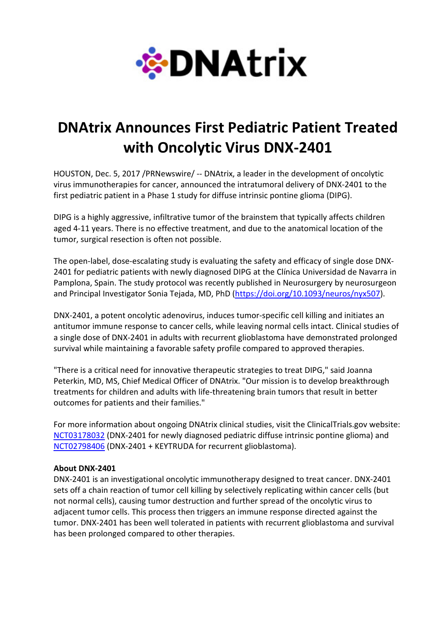

## DNAtrix Announces First Pediatric Patient Treated with Oncolytic Virus DNX-2401

HOUSTON, Dec. 5, 2017 /PRNewswire/ -- DNAtrix, a leader in the development of oncolytic virus immunotherapies for cancer, announced the intratumoral delivery of DNX-2401 to the first pediatric patient in a Phase 1 study for diffuse intrinsic pontine glioma (DIPG).

DIPG is a highly aggressive, infiltrative tumor of the brainstem that typically affects children aged 4-11 years. There is no effective treatment, and due to the anatomical location of the tumor, surgical resection is often not possible.

The open-label, dose-escalating study is evaluating the safety and efficacy of single dose DNX-2401 for pediatric patients with newly diagnosed DIPG at the Clínica Universidad de Navarra in Pamplona, Spain. The study protocol was recently published in Neurosurgery by neurosurgeon and Principal Investigator Sonia Tejada, MD, PhD (https://doi.org/10.1093/neuros/nyx507).

DNX-2401, a potent oncolytic adenovirus, induces tumor-specific cell killing and initiates an antitumor immune response to cancer cells, while leaving normal cells intact. Clinical studies of a single dose of DNX-2401 in adults with recurrent glioblastoma have demonstrated prolonged survival while maintaining a favorable safety profile compared to approved therapies.

"There is a critical need for innovative therapeutic strategies to treat DIPG," said Joanna Peterkin, MD, MS, Chief Medical Officer of DNAtrix. "Our mission is to develop breakthrough treatments for children and adults with life-threatening brain tumors that result in better outcomes for patients and their families."

For more information about ongoing DNAtrix clinical studies, visit the ClinicalTrials.gov website: NCT03178032 (DNX-2401 for newly diagnosed pediatric diffuse intrinsic pontine glioma) and NCT02798406 (DNX-2401 + KEYTRUDA for recurrent glioblastoma).

## About DNX-2401

DNX-2401 is an investigational oncolytic immunotherapy designed to treat cancer. DNX-2401 sets off a chain reaction of tumor cell killing by selectively replicating within cancer cells (but not normal cells), causing tumor destruction and further spread of the oncolytic virus to adjacent tumor cells. This process then triggers an immune response directed against the tumor. DNX-2401 has been well tolerated in patients with recurrent glioblastoma and survival has been prolonged compared to other therapies.